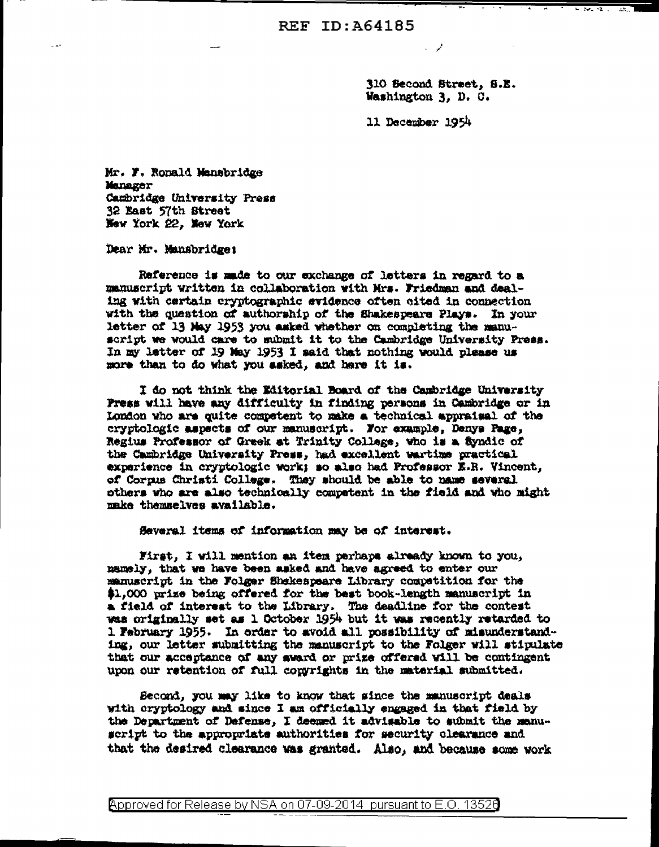310 Second Street, S.E. Washington 3, D. C.

مموارد

11 December 1954

Mr. F. Ronald Mansbridge Manager Cambridge University Press 32 East 57th Street New York 22. New York

Dear Mr. Mansbridge:

Raference is made to our exchange of letters in regard to a manuscript written in collaboration with Mrs. Friedman and dealing with certain cryptographic evidence often cited in connection with the question of authorship of the Shakespeare Plays. In your letter of 13 May 1953 you asked whether on completing the manuscript we would care to submit it to the Cambridge University Press. In my letter of 19 May 1953 I said that nothing would please us more than to do what you asked, and here it is.

I do not think the Editorial Board of the Cambridge University Press will have any difficulty in finding persons in Cambridge or in London who are quite competent to make a technical appraisal of the cryptologic aspects of our manuscript. For example, Denys Page, Regius Professor of Greek at Trinity College, who is a Syndic of the Cambridge University Press, had excellent wartime practical experience in cryptologic work; so also had Professor E.R. Vincent, of Corpus Christi College. They should be able to name several others who are also technically competent in the field and who might make themselves available.

Several items of information may be of interest.

First. I will mention an item perhaps already known to you. namely, that we have been asked and have agreed to enter our manuscript in the Folger Shekespeare Library competition for the \$1,000 prize being offered for the best book-length manuscript in a field of interest to the Library. The deadline for the contest was originally set as 1 October 1954 but it was recently retarded to 1 February 1955. In order to avoid all possibility of misunderstanding, our letter submitting the manuscript to the Folger will stipulate that our acceptance of any award or prize offered will be contingent upon our retention of full congrights in the material submitted.

Second, you may like to know that since the manuscript deals with cryptology and since I am officially engaged in that field by the Department of Dafense, I deemed it advisable to submit the manuscript to the appropriate authorities for security clearance and that the desired clearance was granted. Also, and because some work

Approved for Release by NSA on 07-09-2014 pursuant to E.O. 13526